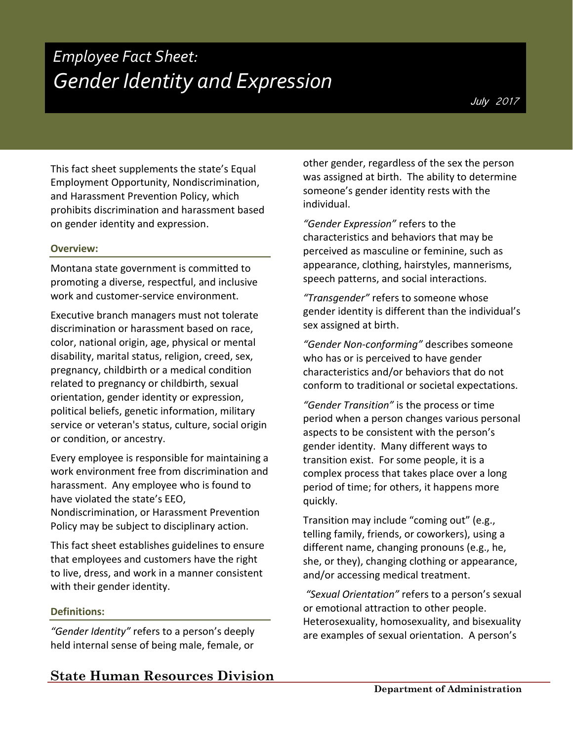# *Employee Fact Sheet: Gender Identity and Expression*

This fact sheet supplements the state's Equal Employment Opportunity, Nondiscrimination, and Harassment Prevention Policy, which prohibits discrimination and harassment based on gender identity and expression.

## **Overview:**

Montana state government is committed to promoting a diverse, respectful, and inclusive work and customer-service environment.

Executive branch managers must not tolerate discrimination or harassment based on race, color, national origin, age, physical or mental disability, marital status, religion, creed, sex, pregnancy, childbirth or a medical condition related to pregnancy or childbirth, sexual orientation, gender identity or expression, political beliefs, genetic information, military service or veteran's status, culture, social origin or condition, or ancestry.

Every employee is responsible for maintaining a work environment free from discrimination and harassment. Any employee who is found to have violated the state's EEO,

Nondiscrimination, or Harassment Prevention Policy may be subject to disciplinary action.

This fact sheet establishes guidelines to ensure that employees and customers have the right to live, dress, and work in a manner consistent with their gender identity.

## **Definitions:**

*"Gender Identity"* refers to a person's deeply held internal sense of being male, female, or

**State Human Resources Division**

other gender, regardless of the sex the person was assigned at birth. The ability to determine someone's gender identity rests with the individual.

*"Gender Expression"* refers to the characteristics and behaviors that may be perceived as masculine or feminine, such as appearance, clothing, hairstyles, mannerisms, speech patterns, and social interactions.

*"Transgender"* refers to someone whose gender identity is different than the individual's sex assigned at birth.

*"Gender Non-conforming"* describes someone who has or is perceived to have gender characteristics and/or behaviors that do not conform to traditional or societal expectations.

*"Gender Transition"* is the process or time period when a person changes various personal aspects to be consistent with the person's gender identity. Many different ways to transition exist. For some people, it is a complex process that takes place over a long period of time; for others, it happens more quickly.

Transition may include "coming out" (e.g., telling family, friends, or coworkers), using a different name, changing pronouns (e.g., he, she, or they), changing clothing or appearance, and/or accessing medical treatment.

*"Sexual Orientation"* refers to a person's sexual or emotional attraction to other people. Heterosexuality, homosexuality, and bisexuality are examples of sexual orientation. A person's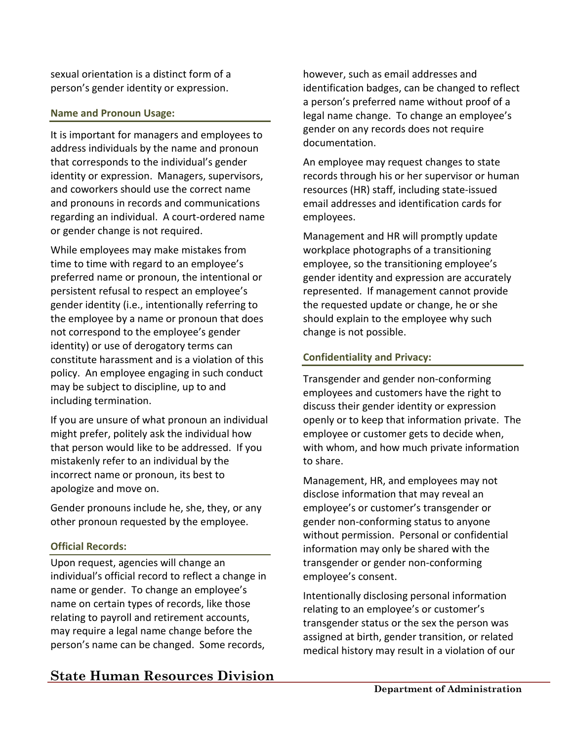sexual orientation is a distinct form of a person's gender identity or expression.

#### **Name and Pronoun Usage:**

It is important for managers and employees to address individuals by the name and pronoun that corresponds to the individual's gender identity or expression. Managers, supervisors, and coworkers should use the correct name and pronouns in records and communications regarding an individual. A court-ordered name or gender change is not required.

While employees may make mistakes from time to time with regard to an employee's preferred name or pronoun, the intentional or persistent refusal to respect an employee's gender identity (i.e., intentionally referring to the employee by a name or pronoun that does not correspond to the employee's gender identity) or use of derogatory terms can constitute harassment and is a violation of this policy. An employee engaging in such conduct may be subject to discipline, up to and including termination.

If you are unsure of what pronoun an individual might prefer, politely ask the individual how that person would like to be addressed. If you mistakenly refer to an individual by the incorrect name or pronoun, its best to apologize and move on.

Gender pronouns include he, she, they, or any other pronoun requested by the employee.

#### **Official Records:**

Upon request, agencies will change an individual's official record to reflect a change in name or gender. To change an employee's name on certain types of records, like those relating to payroll and retirement accounts, may require a legal name change before the person's name can be changed. Some records,

# **State Human Resources Division**

however, such as email addresses and identification badges, can be changed to reflect a person's preferred name without proof of a legal name change. To change an employee's gender on any records does not require documentation.

An employee may request changes to state records through his or her supervisor or human resources (HR) staff, including state-issued email addresses and identification cards for employees.

Management and HR will promptly update workplace photographs of a transitioning employee, so the transitioning employee's gender identity and expression are accurately represented. If management cannot provide the requested update or change, he or she should explain to the employee why such change is not possible.

## **Confidentiality and Privacy:**

Transgender and gender non-conforming employees and customers have the right to discuss their gender identity or expression openly or to keep that information private. The employee or customer gets to decide when, with whom, and how much private information to share.

Management, HR, and employees may not disclose information that may reveal an employee's or customer's transgender or gender non-conforming status to anyone without permission. Personal or confidential information may only be shared with the transgender or gender non-conforming employee's consent.

Intentionally disclosing personal information relating to an employee's or customer's transgender status or the sex the person was assigned at birth, gender transition, or related medical history may result in a violation of our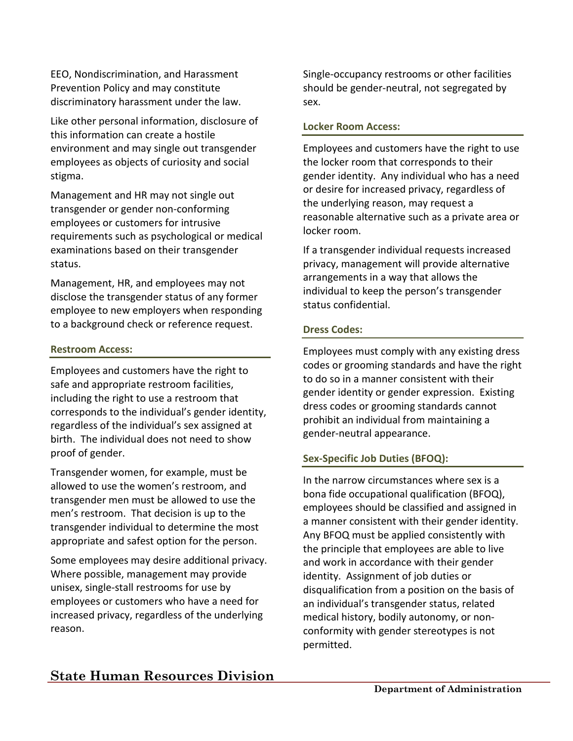EEO, Nondiscrimination, and Harassment Prevention Policy and may constitute discriminatory harassment under the law.

Like other personal information, disclosure of this information can create a hostile environment and may single out transgender employees as objects of curiosity and social stigma.

Management and HR may not single out transgender or gender non-conforming employees or customers for intrusive requirements such as psychological or medical examinations based on their transgender status.

Management, HR, and employees may not disclose the transgender status of any former employee to new employers when responding to a background check or reference request.

#### **Restroom Access:**

Employees and customers have the right to safe and appropriate restroom facilities, including the right to use a restroom that corresponds to the individual's gender identity, regardless of the individual's sex assigned at birth. The individual does not need to show proof of gender.

Transgender women, for example, must be allowed to use the women's restroom, and transgender men must be allowed to use the men's restroom. That decision is up to the transgender individual to determine the most appropriate and safest option for the person.

Some employees may desire additional privacy. Where possible, management may provide unisex, single-stall restrooms for use by employees or customers who have a need for increased privacy, regardless of the underlying reason.

Single-occupancy restrooms or other facilities should be gender-neutral, not segregated by sex.

#### **Locker Room Access:**

Employees and customers have the right to use the locker room that corresponds to their gender identity. Any individual who has a need or desire for increased privacy, regardless of the underlying reason, may request a reasonable alternative such as a private area or locker room.

If a transgender individual requests increased privacy, management will provide alternative arrangements in a way that allows the individual to keep the person's transgender status confidential.

#### **Dress Codes:**

Employees must comply with any existing dress codes or grooming standards and have the right to do so in a manner consistent with their gender identity or gender expression. Existing dress codes or grooming standards cannot prohibit an individual from maintaining a gender-neutral appearance.

## **Sex-Specific Job Duties (BFOQ):**

In the narrow circumstances where sex is a bona fide occupational qualification (BFOQ), employees should be classified and assigned in a manner consistent with their gender identity. Any BFOQ must be applied consistently with the principle that employees are able to live and work in accordance with their gender identity. Assignment of job duties or disqualification from a position on the basis of an individual's transgender status, related medical history, bodily autonomy, or nonconformity with gender stereotypes is not permitted.

## **State Human Resources Division**